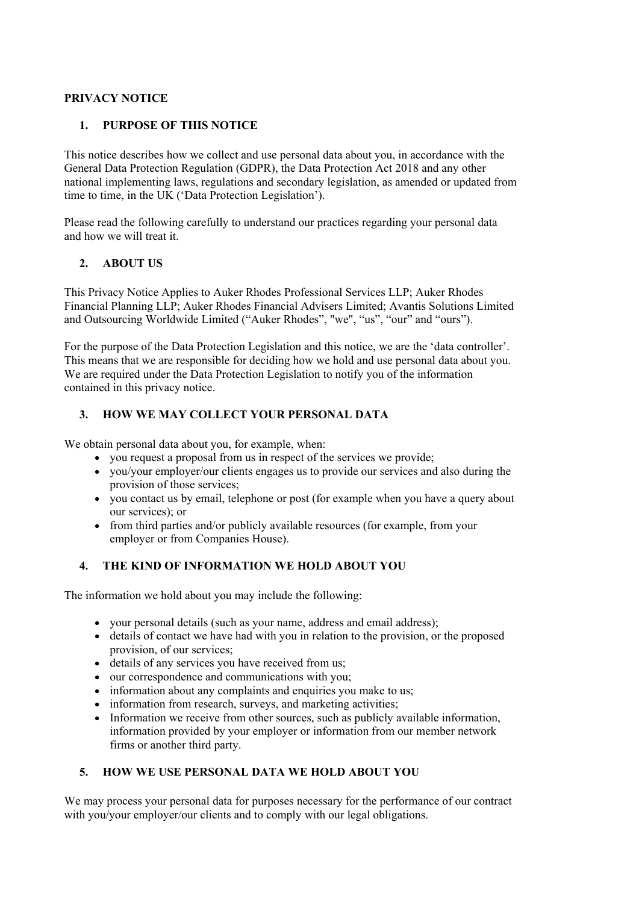# **PRIVACY NOTICE**

# **1. PURPOSE OF THIS NOTICE**

This notice describes how we collect and use personal data about you, in accordance with the General Data Protection Regulation (GDPR), the Data Protection Act 2018 and any other national implementing laws, regulations and secondary legislation, as amended or updated from time to time, in the UK ('Data Protection Legislation').

Please read the following carefully to understand our practices regarding your personal data and how we will treat it.

# **2. ABOUT US**

This Privacy Notice Applies to Auker Rhodes Professional Services LLP; Auker Rhodes Financial Planning LLP; Auker Rhodes Financial Advisers Limited; Avantis Solutions Limited and Outsourcing Worldwide Limited ("Auker Rhodes", "we", "us", "our" and "ours").

For the purpose of the Data Protection Legislation and this notice, we are the 'data controller'. This means that we are responsible for deciding how we hold and use personal data about you. We are required under the Data Protection Legislation to notify you of the information contained in this privacy notice.

# **3. HOW WE MAY COLLECT YOUR PERSONAL DATA**

We obtain personal data about you, for example, when:

- you request a proposal from us in respect of the services we provide;
- you/your employer/our clients engages us to provide our services and also during the provision of those services;
- you contact us by email, telephone or post (for example when you have a query about our services); or
- from third parties and/or publicly available resources (for example, from your employer or from Companies House).

# **4. THE KIND OF INFORMATION WE HOLD ABOUT YOU**

The information we hold about you may include the following:

- your personal details (such as your name, address and email address);
- details of contact we have had with you in relation to the provision, or the proposed provision, of our services;
- details of any services you have received from us;
- our correspondence and communications with you;
- information about any complaints and enquiries you make to us;
- information from research, surveys, and marketing activities;
- Information we receive from other sources, such as publicly available information, information provided by your employer or information from our member network firms or another third party.

# **5. HOW WE USE PERSONAL DATA WE HOLD ABOUT YOU**

We may process your personal data for purposes necessary for the performance of our contract with you/your employer/our clients and to comply with our legal obligations.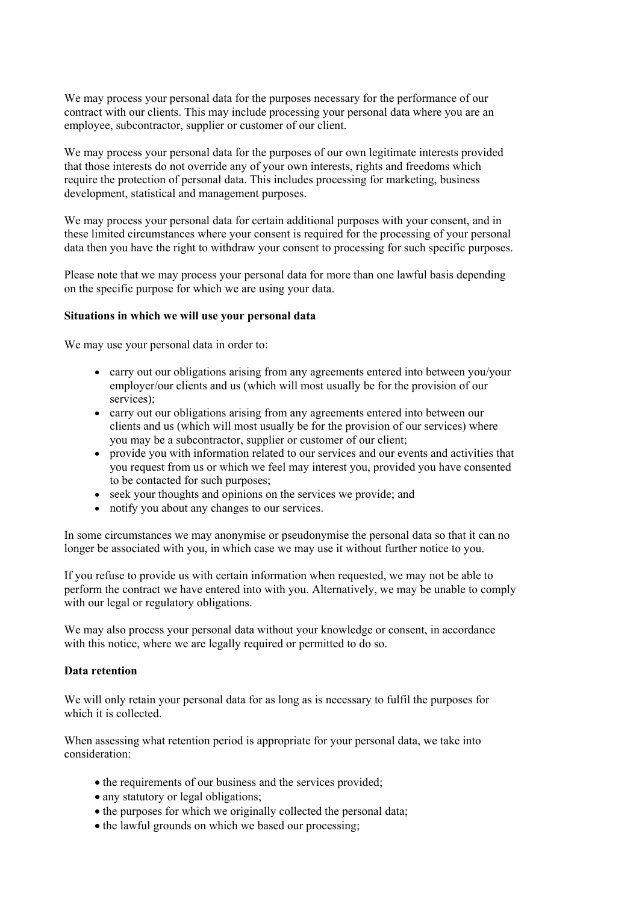We may process your personal data for the purposes necessary for the performance of our contract with our clients. This may include processing your personal data where you are an employee, subcontractor, supplier or customer of our client.

We may process your personal data for the purposes of our own legitimate interests provided that those interests do not override any of your own interests, rights and freedoms which require the protection of personal data. This includes processing for marketing, business development, statistical and management purposes.

We may process your personal data for certain additional purposes with your consent, and in these limited circumstances where your consent is required for the processing of your personal data then you have the right to withdraw your consent to processing for such specific purposes.

Please note that we may process your personal data for more than one lawful basis depending on the specific purpose for which we are using your data.

#### **Situations in which we will use your personal data**

We may use your personal data in order to:

- carry out our obligations arising from any agreements entered into between you/your employer/our clients and us (which will most usually be for the provision of our services);
- carry out our obligations arising from any agreements entered into between our clients and us (which will most usually be for the provision of our services) where you may be a subcontractor, supplier or customer of our client;
- provide you with information related to our services and our events and activities that you request from us or which we feel may interest you, provided you have consented to be contacted for such purposes;
- seek your thoughts and opinions on the services we provide; and
- notify you about any changes to our services.

In some circumstances we may anonymise or pseudonymise the personal data so that it can no longer be associated with you, in which case we may use it without further notice to you.

If you refuse to provide us with certain information when requested, we may not be able to perform the contract we have entered into with you. Alternatively, we may be unable to comply with our legal or regulatory obligations.

We may also process your personal data without your knowledge or consent, in accordance with this notice, where we are legally required or permitted to do so.

#### **Data retention**

We will only retain your personal data for as long as is necessary to fulfil the purposes for which it is collected.

When assessing what retention period is appropriate for your personal data, we take into consideration:

- the requirements of our business and the services provided;
- any statutory or legal obligations:
- the purposes for which we originally collected the personal data;
- the lawful grounds on which we based our processing;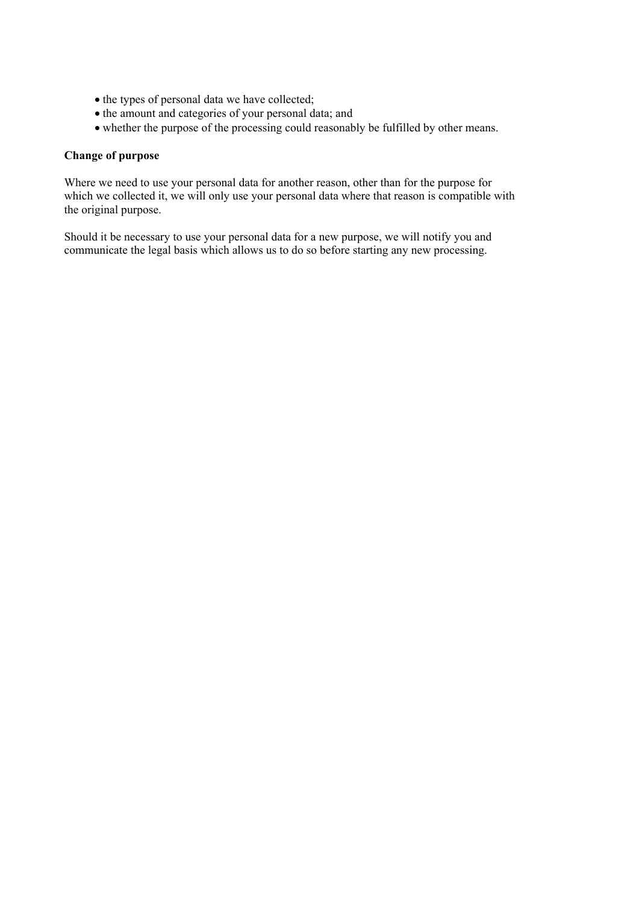- $\bullet$  the types of personal data we have collected;
- the amount and categories of your personal data; and
- whether the purpose of the processing could reasonably be fulfilled by other means.

#### **Change of purpose**

Where we need to use your personal data for another reason, other than for the purpose for which we collected it, we will only use your personal data where that reason is compatible with the original purpose.

Should it be necessary to use your personal data for a new purpose, we will notify you and communicate the legal basis which allows us to do so before starting any new processing.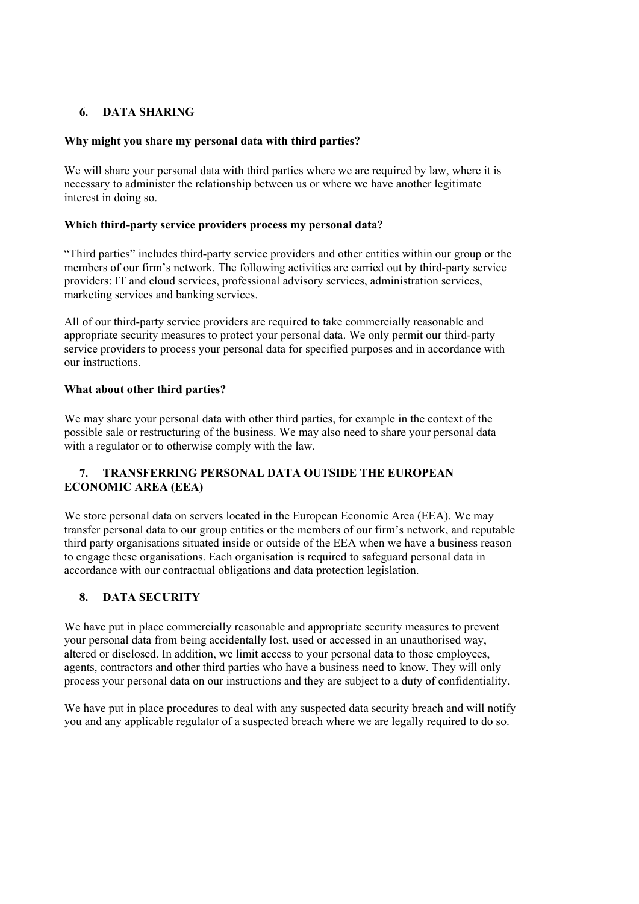# **6. DATA SHARING**

### **Why might you share my personal data with third parties?**

We will share your personal data with third parties where we are required by law, where it is necessary to administer the relationship between us or where we have another legitimate interest in doing so.

### **Which third-party service providers process my personal data?**

"Third parties" includes third-party service providers and other entities within our group or the members of our firm's network. The following activities are carried out by third-party service providers: IT and cloud services, professional advisory services, administration services, marketing services and banking services.

All of our third-party service providers are required to take commercially reasonable and appropriate security measures to protect your personal data. We only permit our third-party service providers to process your personal data for specified purposes and in accordance with our instructions.

# **What about other third parties?**

We may share your personal data with other third parties, for example in the context of the possible sale or restructuring of the business. We may also need to share your personal data with a regulator or to otherwise comply with the law.

# **7. TRANSFERRING PERSONAL DATA OUTSIDE THE EUROPEAN ECONOMIC AREA (EEA)**

We store personal data on servers located in the European Economic Area (EEA). We may transfer personal data to our group entities or the members of our firm's network, and reputable third party organisations situated inside or outside of the EEA when we have a business reason to engage these organisations. Each organisation is required to safeguard personal data in accordance with our contractual obligations and data protection legislation.

# **8. DATA SECURITY**

We have put in place commercially reasonable and appropriate security measures to prevent your personal data from being accidentally lost, used or accessed in an unauthorised way, altered or disclosed. In addition, we limit access to your personal data to those employees, agents, contractors and other third parties who have a business need to know. They will only process your personal data on our instructions and they are subject to a duty of confidentiality.

We have put in place procedures to deal with any suspected data security breach and will notify you and any applicable regulator of a suspected breach where we are legally required to do so.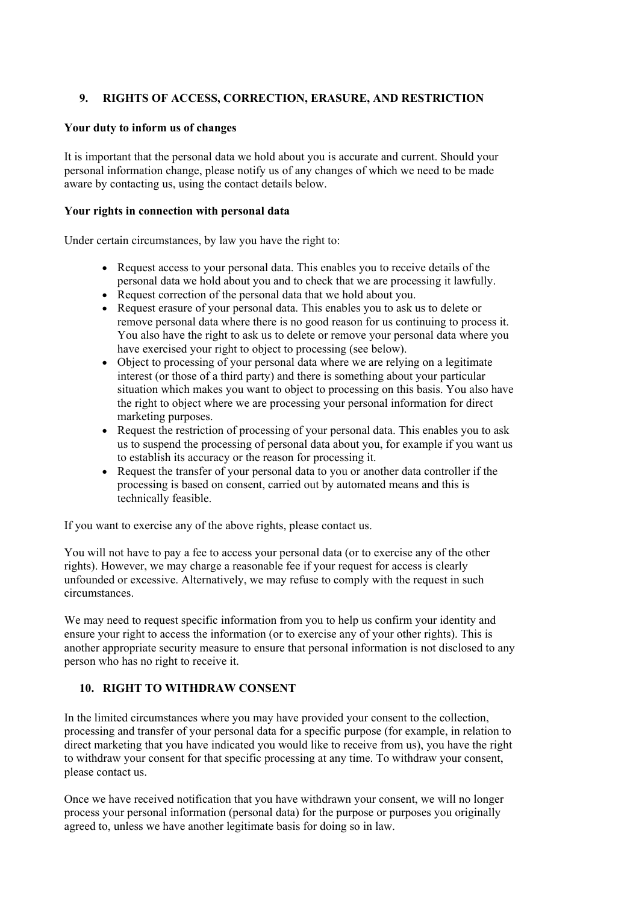# **9. RIGHTS OF ACCESS, CORRECTION, ERASURE, AND RESTRICTION**

## **Your duty to inform us of changes**

It is important that the personal data we hold about you is accurate and current. Should your personal information change, please notify us of any changes of which we need to be made aware by contacting us, using the contact details below.

#### **Your rights in connection with personal data**

Under certain circumstances, by law you have the right to:

- Request access to your personal data. This enables you to receive details of the personal data we hold about you and to check that we are processing it lawfully.
- Request correction of the personal data that we hold about you.
- Request erasure of your personal data. This enables you to ask us to delete or remove personal data where there is no good reason for us continuing to process it. You also have the right to ask us to delete or remove your personal data where you have exercised your right to object to processing (see below).
- Object to processing of your personal data where we are relying on a legitimate interest (or those of a third party) and there is something about your particular situation which makes you want to object to processing on this basis. You also have the right to object where we are processing your personal information for direct marketing purposes.
- Request the restriction of processing of your personal data. This enables you to ask us to suspend the processing of personal data about you, for example if you want us to establish its accuracy or the reason for processing it.
- Request the transfer of your personal data to you or another data controller if the processing is based on consent, carried out by automated means and this is technically feasible.

If you want to exercise any of the above rights, please contact us.

You will not have to pay a fee to access your personal data (or to exercise any of the other rights). However, we may charge a reasonable fee if your request for access is clearly unfounded or excessive. Alternatively, we may refuse to comply with the request in such circumstances.

We may need to request specific information from you to help us confirm your identity and ensure your right to access the information (or to exercise any of your other rights). This is another appropriate security measure to ensure that personal information is not disclosed to any person who has no right to receive it.

# **10. RIGHT TO WITHDRAW CONSENT**

In the limited circumstances where you may have provided your consent to the collection, processing and transfer of your personal data for a specific purpose (for example, in relation to direct marketing that you have indicated you would like to receive from us), you have the right to withdraw your consent for that specific processing at any time. To withdraw your consent, please contact us.

Once we have received notification that you have withdrawn your consent, we will no longer process your personal information (personal data) for the purpose or purposes you originally agreed to, unless we have another legitimate basis for doing so in law.